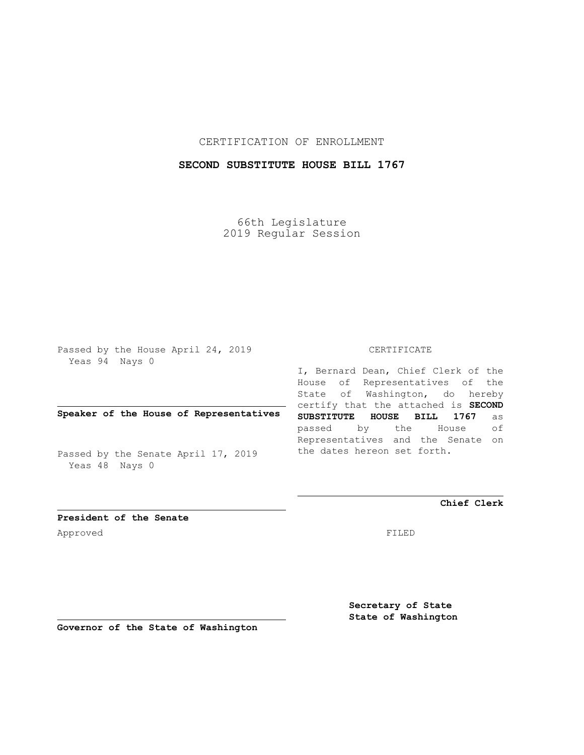CERTIFICATION OF ENROLLMENT

## **SECOND SUBSTITUTE HOUSE BILL 1767**

66th Legislature 2019 Regular Session

Passed by the House April 24, 2019 Yeas 94 Nays 0

**Speaker of the House of Representatives**

Passed by the Senate April 17, 2019 Yeas 48 Nays 0

CERTIFICATE

I, Bernard Dean, Chief Clerk of the House of Representatives of the State of Washington, do hereby certify that the attached is **SECOND SUBSTITUTE HOUSE BILL 1767** as passed by the House of Representatives and the Senate on the dates hereon set forth.

**Chief Clerk**

**President of the Senate** Approved FILED

**Secretary of State State of Washington**

**Governor of the State of Washington**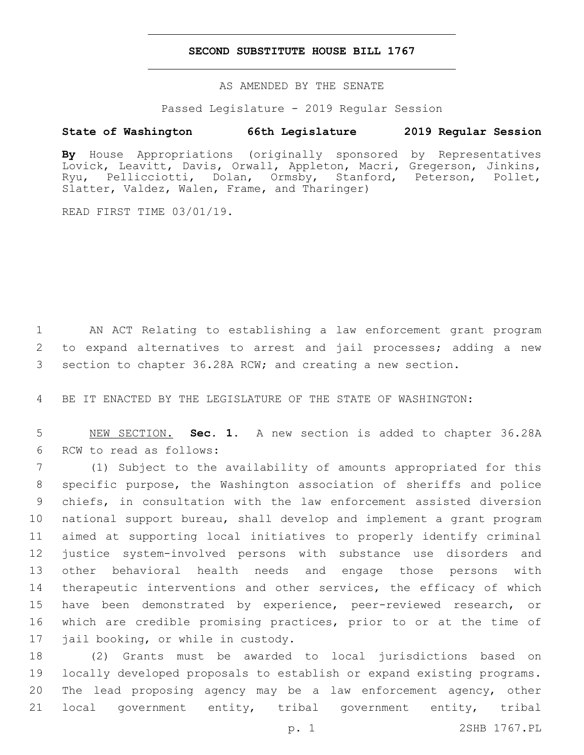## **SECOND SUBSTITUTE HOUSE BILL 1767**

AS AMENDED BY THE SENATE

Passed Legislature - 2019 Regular Session

## **State of Washington 66th Legislature 2019 Regular Session**

**By** House Appropriations (originally sponsored by Representatives Lovick, Leavitt, Davis, Orwall, Appleton, Macri, Gregerson, Jinkins, Ryu, Pellicciotti, Dolan, Ormsby, Stanford, Peterson, Pollet, Slatter, Valdez, Walen, Frame, and Tharinger)

READ FIRST TIME 03/01/19.

1 AN ACT Relating to establishing a law enforcement grant program 2 to expand alternatives to arrest and jail processes; adding a new 3 section to chapter 36.28A RCW; and creating a new section.

4 BE IT ENACTED BY THE LEGISLATURE OF THE STATE OF WASHINGTON:

5 NEW SECTION. **Sec. 1.** A new section is added to chapter 36.28A 6 RCW to read as follows:

 (1) Subject to the availability of amounts appropriated for this specific purpose, the Washington association of sheriffs and police chiefs, in consultation with the law enforcement assisted diversion national support bureau, shall develop and implement a grant program aimed at supporting local initiatives to properly identify criminal justice system-involved persons with substance use disorders and other behavioral health needs and engage those persons with 14 therapeutic interventions and other services, the efficacy of which 15 have been demonstrated by experience, peer-reviewed research, or which are credible promising practices, prior to or at the time of 17 jail booking, or while in custody.

 (2) Grants must be awarded to local jurisdictions based on locally developed proposals to establish or expand existing programs. The lead proposing agency may be a law enforcement agency, other local government entity, tribal government entity, tribal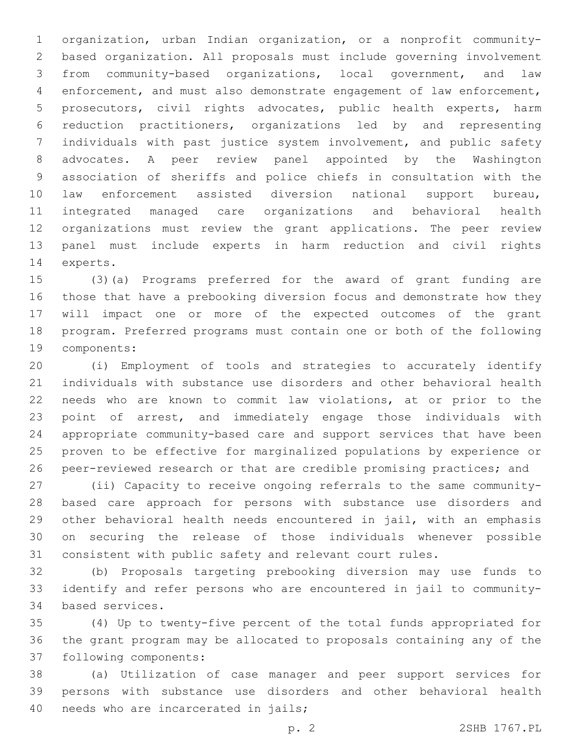organization, urban Indian organization, or a nonprofit community- based organization. All proposals must include governing involvement from community-based organizations, local government, and law enforcement, and must also demonstrate engagement of law enforcement, prosecutors, civil rights advocates, public health experts, harm reduction practitioners, organizations led by and representing individuals with past justice system involvement, and public safety advocates. A peer review panel appointed by the Washington association of sheriffs and police chiefs in consultation with the law enforcement assisted diversion national support bureau, integrated managed care organizations and behavioral health organizations must review the grant applications. The peer review panel must include experts in harm reduction and civil rights 14 experts.

 (3)(a) Programs preferred for the award of grant funding are those that have a prebooking diversion focus and demonstrate how they will impact one or more of the expected outcomes of the grant program. Preferred programs must contain one or both of the following 19 components:

 (i) Employment of tools and strategies to accurately identify individuals with substance use disorders and other behavioral health needs who are known to commit law violations, at or prior to the point of arrest, and immediately engage those individuals with appropriate community-based care and support services that have been proven to be effective for marginalized populations by experience or peer-reviewed research or that are credible promising practices; and

 (ii) Capacity to receive ongoing referrals to the same community- based care approach for persons with substance use disorders and other behavioral health needs encountered in jail, with an emphasis on securing the release of those individuals whenever possible consistent with public safety and relevant court rules.

 (b) Proposals targeting prebooking diversion may use funds to identify and refer persons who are encountered in jail to community-34 based services.

 (4) Up to twenty-five percent of the total funds appropriated for the grant program may be allocated to proposals containing any of the 37 following components:

 (a) Utilization of case manager and peer support services for persons with substance use disorders and other behavioral health 40 needs who are incarcerated in jails;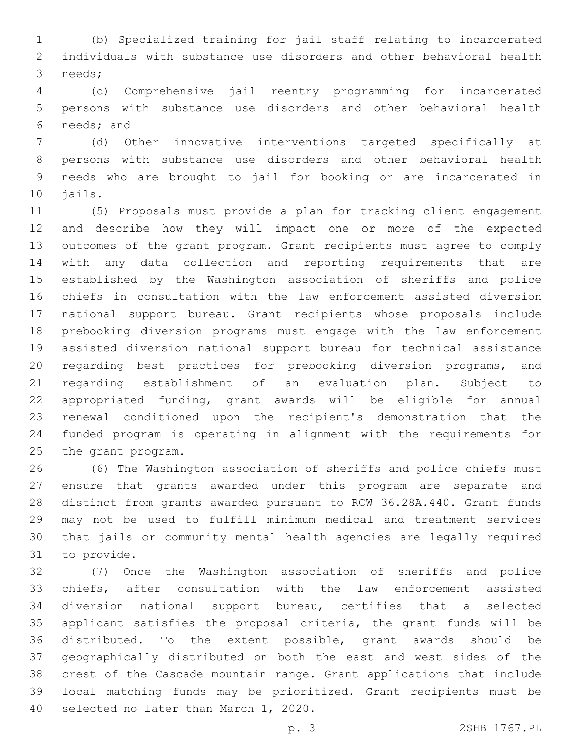(b) Specialized training for jail staff relating to incarcerated individuals with substance use disorders and other behavioral health 3 needs;

 (c) Comprehensive jail reentry programming for incarcerated persons with substance use disorders and other behavioral health 6 needs; and

 (d) Other innovative interventions targeted specifically at persons with substance use disorders and other behavioral health needs who are brought to jail for booking or are incarcerated in 10 jails.

 (5) Proposals must provide a plan for tracking client engagement and describe how they will impact one or more of the expected outcomes of the grant program. Grant recipients must agree to comply with any data collection and reporting requirements that are established by the Washington association of sheriffs and police chiefs in consultation with the law enforcement assisted diversion national support bureau. Grant recipients whose proposals include prebooking diversion programs must engage with the law enforcement assisted diversion national support bureau for technical assistance regarding best practices for prebooking diversion programs, and regarding establishment of an evaluation plan. Subject to appropriated funding, grant awards will be eligible for annual renewal conditioned upon the recipient's demonstration that the funded program is operating in alignment with the requirements for 25 the grant program.

 (6) The Washington association of sheriffs and police chiefs must ensure that grants awarded under this program are separate and distinct from grants awarded pursuant to RCW 36.28A.440. Grant funds may not be used to fulfill minimum medical and treatment services that jails or community mental health agencies are legally required 31 to provide.

 (7) Once the Washington association of sheriffs and police chiefs, after consultation with the law enforcement assisted diversion national support bureau, certifies that a selected applicant satisfies the proposal criteria, the grant funds will be distributed. To the extent possible, grant awards should be geographically distributed on both the east and west sides of the crest of the Cascade mountain range. Grant applications that include local matching funds may be prioritized. Grant recipients must be 40 selected no later than March 1, 2020.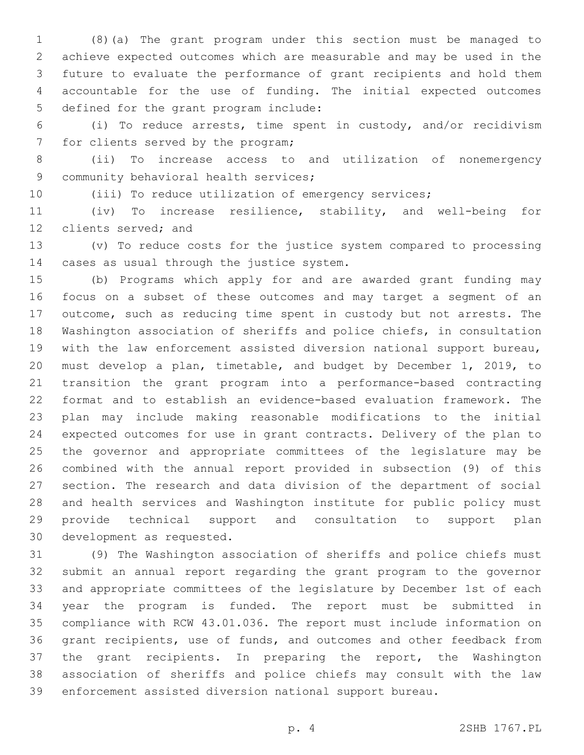(8)(a) The grant program under this section must be managed to achieve expected outcomes which are measurable and may be used in the future to evaluate the performance of grant recipients and hold them accountable for the use of funding. The initial expected outcomes 5 defined for the grant program include:

 (i) To reduce arrests, time spent in custody, and/or recidivism 7 for clients served by the program;

 (ii) To increase access to and utilization of nonemergency 9 community behavioral health services;

(iii) To reduce utilization of emergency services;

 (iv) To increase resilience, stability, and well-being for 12 clients served; and

 (v) To reduce costs for the justice system compared to processing 14 cases as usual through the justice system.

 (b) Programs which apply for and are awarded grant funding may focus on a subset of these outcomes and may target a segment of an outcome, such as reducing time spent in custody but not arrests. The Washington association of sheriffs and police chiefs, in consultation with the law enforcement assisted diversion national support bureau, must develop a plan, timetable, and budget by December 1, 2019, to transition the grant program into a performance-based contracting format and to establish an evidence-based evaluation framework. The plan may include making reasonable modifications to the initial expected outcomes for use in grant contracts. Delivery of the plan to the governor and appropriate committees of the legislature may be combined with the annual report provided in subsection (9) of this section. The research and data division of the department of social and health services and Washington institute for public policy must provide technical support and consultation to support plan 30 development as requested.

 (9) The Washington association of sheriffs and police chiefs must submit an annual report regarding the grant program to the governor and appropriate committees of the legislature by December 1st of each year the program is funded. The report must be submitted in compliance with RCW 43.01.036. The report must include information on grant recipients, use of funds, and outcomes and other feedback from the grant recipients. In preparing the report, the Washington association of sheriffs and police chiefs may consult with the law enforcement assisted diversion national support bureau.